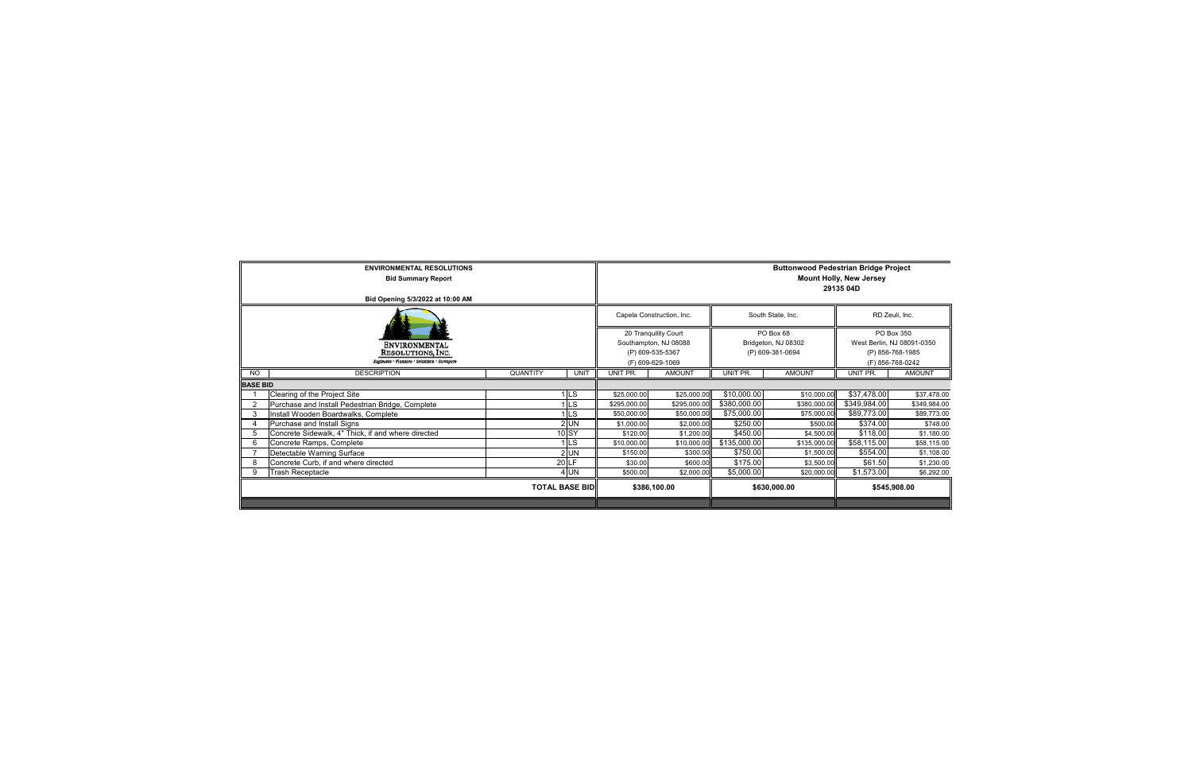|                       | <b>ENVIRONMENTAL RESOLUTIONS</b><br><b>Bid Summary Report</b>                                     | <b>Buttonwood Pedestrian Bridge Project</b><br><b>Mount Holly, New Jersey</b><br>29135 04D |                           |                                                      |                   |                                                                                  |               |              |               |
|-----------------------|---------------------------------------------------------------------------------------------------|--------------------------------------------------------------------------------------------|---------------------------|------------------------------------------------------|-------------------|----------------------------------------------------------------------------------|---------------|--------------|---------------|
|                       | Bid Opening 5/3/2022 at 10:00 AM                                                                  |                                                                                            |                           |                                                      |                   |                                                                                  |               |              |               |
|                       |                                                                                                   |                                                                                            | Capela Construction, Inc. |                                                      | South State, Inc. | RD Zeuli, Inc.                                                                   |               |              |               |
|                       | <b>ENVIRONMENTAL</b><br><b>RESOLUTIONS, INC.</b><br>Engineers • Fianners • Scientists • Surveyors | 20 Tranquility Court<br>Southampton, NJ 08088<br>(P) 609-535-5367<br>(F) 609-629-1069      |                           | PO Box 68<br>Bridgeton, NJ 08302<br>(P) 609-381-0694 |                   | PO Box 350<br>West Berlin, NJ 08091-0350<br>(P) 856-768-1985<br>(F) 856-768-0242 |               |              |               |
| <b>NO</b>             | <b>DESCRIPTION</b>                                                                                | QUANTITY                                                                                   | <b>UNIT</b>               | UNIT PR.                                             | <b>AMOUNT</b>     | UNIT PR.                                                                         | <b>AMOUNT</b> | UNIT PR.     | <b>AMOUNT</b> |
| <b>BASE BID</b>       |                                                                                                   |                                                                                            |                           |                                                      |                   |                                                                                  |               |              |               |
|                       | Clearing of the Project Site                                                                      |                                                                                            | <b>LS</b>                 | \$25,000.00                                          | \$25,000.00       | \$10,000.00                                                                      | \$10,000.00   | \$37,478.00  | \$37,478.00   |
| $\overline{2}$        | Purchase and Install Pedestrian Bridge, Complete                                                  |                                                                                            | <b>LS</b>                 | \$295,000.00                                         | \$295,000.00      | \$380,000.00                                                                     | \$380,000.00  | \$349,984.00 | \$349,984.00  |
| 3                     | Install Wooden Boardwalks, Complete                                                               |                                                                                            | ILS.                      | \$50,000.00                                          | \$50,000.00       | \$75,000.00                                                                      | \$75,000.00   | \$89,773.00  | \$89,773.00   |
| 4                     | Purchase and Install Signs                                                                        |                                                                                            | $2$ UN                    | \$1,000.00                                           | \$2,000.00        | \$250.00                                                                         | \$500.00      | \$374.00     | \$748.00      |
| 5                     | Concrete Sidewalk, 4" Thick, if and where directed                                                |                                                                                            | $10$ SY                   | \$120.00                                             | \$1,200.00        | \$450.00                                                                         | \$4,500.00    | \$118.00     | \$1,180.00    |
| 6                     | Concrete Ramps, Complete                                                                          |                                                                                            | I ∣LS                     | \$10,000.00                                          | \$10,000.00       | \$135,000.00                                                                     | \$135,000.00  | \$58,115.00  | \$58,115.00   |
|                       | Detectable Warning Surface                                                                        |                                                                                            | $2$ UN                    | \$150.00                                             | \$300.00          | \$750.00                                                                         | \$1,500.00    | \$554.00     | \$1,108.00    |
| 8                     | Concrete Curb, if and where directed                                                              |                                                                                            | 20 LF                     | \$30.00                                              | \$600.00          | \$175.00                                                                         | \$3,500.00    | \$61.50      | \$1,230.00    |
| 9                     | <b>Trash Receptacle</b>                                                                           |                                                                                            | $4$ UN                    | \$500.00                                             | \$2,000.00        | \$5,000.00                                                                       | \$20,000.00   | \$1,573.00   | \$6,292.00    |
| <b>TOTAL BASE BID</b> |                                                                                                   |                                                                                            |                           |                                                      | \$386,100.00      |                                                                                  | \$630,000.00  | \$545,908.00 |               |
|                       |                                                                                                   |                                                                                            |                           |                                                      |                   |                                                                                  |               |              |               |